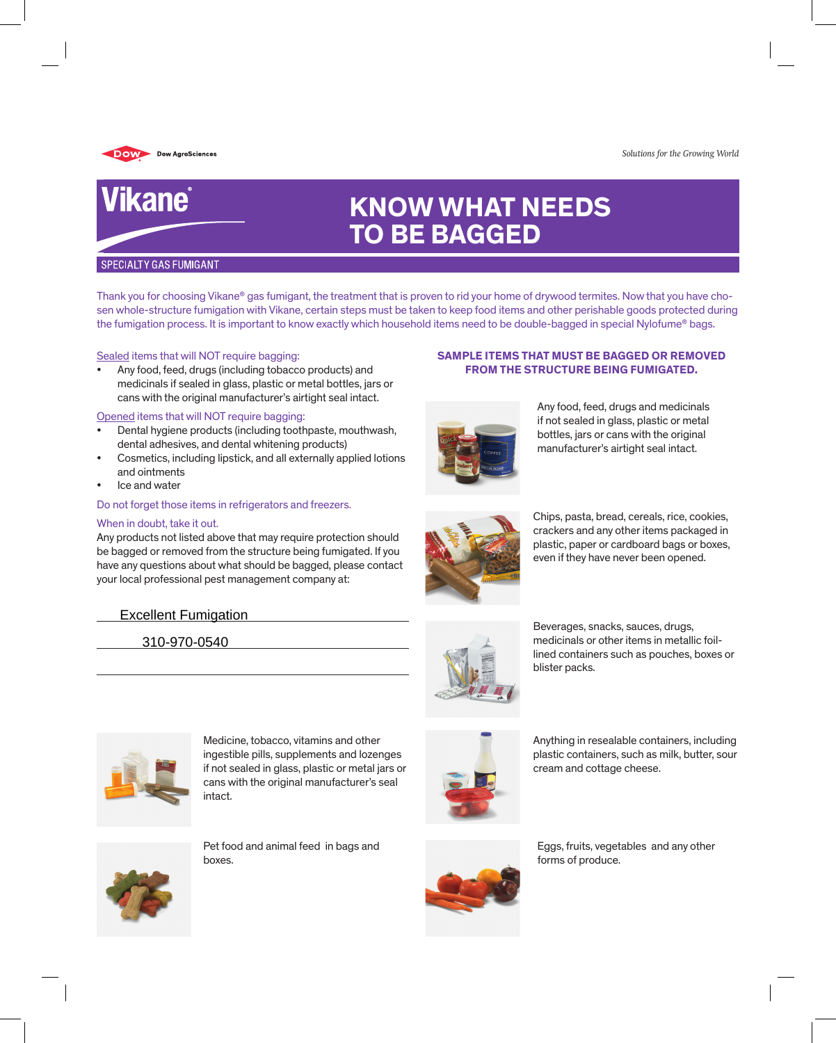

Vikane®

#### *Solutions for the Growing World*

# **KNOW WHAT NEEDS TO BE BAGGED**

#### **SPECIALTY GAS FUMIGANT**

Thank you for choosing Vikane® gas fumigant, the treatment that is proven to rid your home of drywood termites. Now that you have chosen whole-structure fumigation with Vikane, certain steps must be taken to keep food items and other perishable goods protected during the fumigation process. It is important to know exactly which household items need to be double-bagged in special Nylofume® bags.

#### Sealed items that will NOT require bagging:

Any food, feed, drugs (including tobacco products) and medicinals if sealed in glass, plastic or metal bottles, jars or cans with the original manufacturer's airtight seal intact.

#### Opened items that will NOT require bagging:

- Dental hygiene products (including toothpaste, mouthwash, dental adhesives, and dental whitening products)
- Cosmetics, including lipstick, and all externally applied lotions and ointments
- Ice and water

#### Do not forget those items in refrigerators and freezers.

#### When in doubt, take it out.

Any products not listed above that may require protection should be bagged or removed from the structure being fumigated. If you have any questions about what should be bagged, please contact your local professional pest management company at:

# Excellent Fumigation

310-970-0540



Any food, feed, drugs and medicinals if not sealed in glass, plastic or metal bottles, jars or cans with the original manufacturer's airtight seal intact.

**Sample items that must be bagged or removed from the structure being fumigated.**



Chips, pasta, bread, cereals, rice, cookies, crackers and any other items packaged in plastic, paper or cardboard bags or boxes, even if they have never been opened.





Anything in resealable containers, including plastic containers, such as milk, butter, sour



Medicine, tobacco, vitamins and other ingestible pills, supplements and lozenges if not sealed in glass, plastic or metal jars or cans with the original manufacturer's seal intact.



Pet food and animal feed in bags and boxes.



Eggs, fruits, vegetables and any other

cream and cottage cheese.



forms of produce.